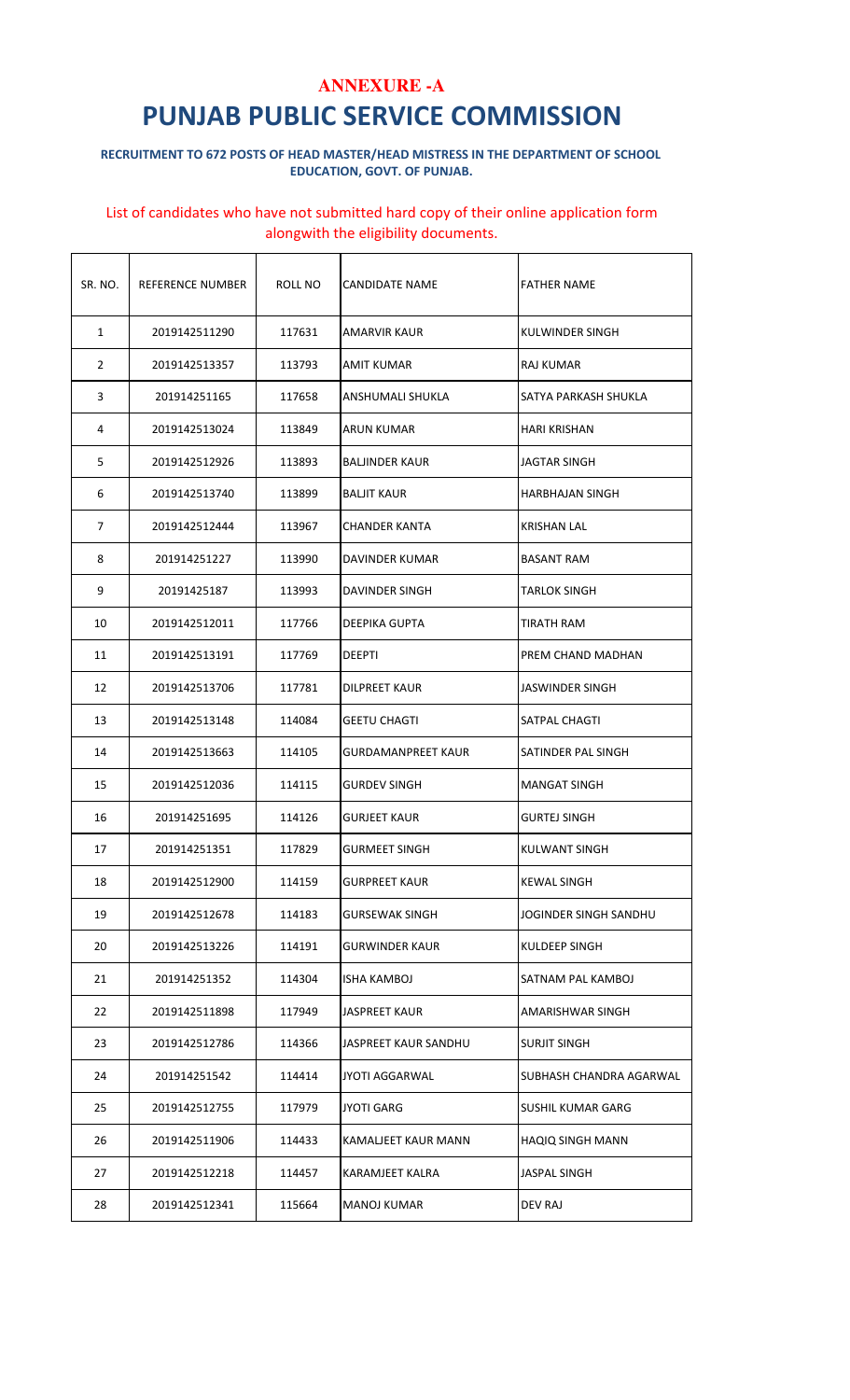#### RECRUITMENT TO 672 POSTS OF HEAD MASTER/HEAD MISTRESS IN THE DEPARTMENT OF SCHOOL EDUCATION, GOVT. OF PUNJAB.

| SR. NO.        | REFERENCE NUMBER | ROLL NO | CANDIDATE NAME        | <b>FATHER NAME</b>      |
|----------------|------------------|---------|-----------------------|-------------------------|
| $\mathbf{1}$   | 2019142511290    | 117631  | AMARVIR KAUR          | KULWINDER SINGH         |
| $\overline{2}$ | 2019142513357    | 113793  | AMIT KUMAR            | RAJ KUMAR               |
| 3              | 201914251165     | 117658  | ANSHUMALI SHUKLA      | SATYA PARKASH SHUKLA    |
| 4              | 2019142513024    | 113849  | ARUN KUMAR            | HARI KRISHAN            |
| 5              | 2019142512926    | 113893  | <b>BALJINDER KAUR</b> | JAGTAR SINGH            |
| 6              | 2019142513740    | 113899  | BALJIT KAUR           | HARBHAJAN SINGH         |
| 7              | 2019142512444    | 113967  | CHANDER KANTA         | KRISHAN LAL             |
| 8              | 201914251227     | 113990  | DAVINDER KUMAR        | BASANT RAM              |
| 9              | 20191425187      | 113993  | <b>DAVINDER SINGH</b> | <b>TARLOK SINGH</b>     |
| 10             | 2019142512011    | 117766  | <b>DEEPIKA GUPTA</b>  | TIRATH RAM              |
| 11             | 2019142513191    | 117769  | DEEPTI                | PREM CHAND MADHAN       |
| 12             | 2019142513706    | 117781  | DILPREET KAUR         | JASWINDER SINGH         |
| 13             | 2019142513148    | 114084  | GEETU CHAGTI          | SATPAL CHAGTI           |
| 14             | 2019142513663    | 114105  | GURDAMANPREET KAUR    | SATINDER PAL SINGH      |
| 15             | 2019142512036    | 114115  | <b>GURDEV SINGH</b>   | <b>MANGAT SINGH</b>     |
| 16             | 201914251695     | 114126  | <b>GURJEET KAUR</b>   | <b>GURTEJ SINGH</b>     |
| 17             | 201914251351     | 117829  | GURMEET SINGH         | <b>KULWANT SINGH</b>    |
| 18             | 2019142512900    | 114159  | GURPREET KAUR         | KEWAL SINGH             |
| 19             | 2019142512678    | 114183  | GURSEWAK SINGH        | JOGINDER SINGH SANDHU   |
| 20             | 2019142513226    | 114191  | GURWINDER KAUR        | KULDEEP SINGH           |
| 21             | 201914251352     | 114304  | ISHA KAMBOJ           | SATNAM PAL KAMBOJ       |
| 22             | 2019142511898    | 117949  | <b>JASPREET KAUR</b>  | AMARISHWAR SINGH        |
| 23             | 2019142512786    | 114366  | JASPREET KAUR SANDHU  | <b>SURJIT SINGH</b>     |
| 24             | 201914251542     | 114414  | JYOTI AGGARWAL        | SUBHASH CHANDRA AGARWAL |
| 25             | 2019142512755    | 117979  | JYOTI GARG            | SUSHIL KUMAR GARG       |
| 26             | 2019142511906    | 114433  | KAMALJEET KAUR MANN   | HAQIQ SINGH MANN        |
| 27             | 2019142512218    | 114457  | KARAMJEET KALRA       | JASPAL SINGH            |
| 28             | 2019142512341    | 115664  | <b>MANOJ KUMAR</b>    | DEV RAJ                 |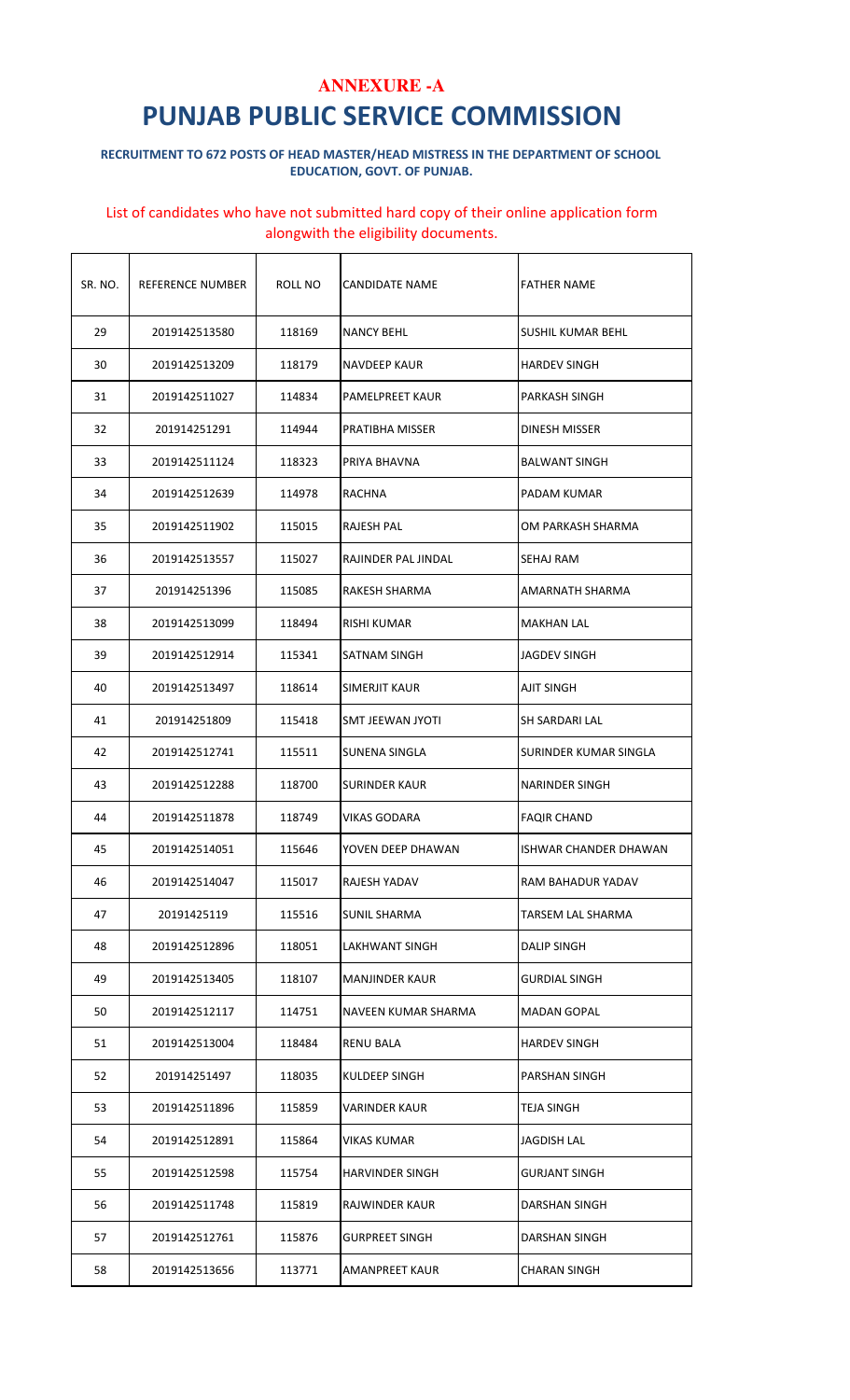#### RECRUITMENT TO 672 POSTS OF HEAD MASTER/HEAD MISTRESS IN THE DEPARTMENT OF SCHOOL EDUCATION, GOVT. OF PUNJAB.

| SR. NO. | REFERENCE NUMBER | ROLL NO | CANDIDATE NAME       | <b>FATHER NAME</b>       |
|---------|------------------|---------|----------------------|--------------------------|
| 29      | 2019142513580    | 118169  | <b>NANCY BEHL</b>    | SUSHIL KUMAR BEHL        |
| 30      | 2019142513209    | 118179  | NAVDEEP KAUR         | <b>HARDEV SINGH</b>      |
| 31      | 2019142511027    | 114834  | PAMELPREET KAUR      | PARKASH SINGH            |
| 32      | 201914251291     | 114944  | PRATIBHA MISSER      | <b>DINESH MISSER</b>     |
| 33      | 2019142511124    | 118323  | PRIYA BHAVNA         | <b>BALWANT SINGH</b>     |
| 34      | 2019142512639    | 114978  | RACHNA               | PADAM KUMAR              |
| 35      | 2019142511902    | 115015  | RAJESH PAL           | OM PARKASH SHARMA        |
| 36      | 2019142513557    | 115027  | RAJINDER PAL JINDAL  | SEHAJ RAM                |
| 37      | 201914251396     | 115085  | RAKESH SHARMA        | AMARNATH SHARMA          |
| 38      | 2019142513099    | 118494  | RISHI KUMAR          | <b>MAKHAN LAL</b>        |
| 39      | 2019142512914    | 115341  | SATNAM SINGH         | JAGDEV SINGH             |
| 40      | 2019142513497    | 118614  | SIMERJIT KAUR        | AJIT SINGH               |
| 41      | 201914251809     | 115418  | SMT JEEWAN JYOTI     | SH SARDARI LAL           |
| 42      | 2019142512741    | 115511  | <b>SUNENA SINGLA</b> | SURINDER KUMAR SINGLA    |
| 43      | 2019142512288    | 118700  | SURINDER KAUR        | NARINDER SINGH           |
| 44      | 2019142511878    | 118749  | <b>VIKAS GODARA</b>  | <b>FAQIR CHAND</b>       |
| 45      | 2019142514051    | 115646  | YOVEN DEEP DHAWAN    | ISHWAR CHANDER DHAWAN    |
| 46      | 2019142514047    | 115017  | RAJESH YADAV         | RAM BAHADUR YADAV        |
| 47      | 20191425119      | 115516  | SUNIL SHARMA         | <b>TARSEM LAL SHARMA</b> |
| 48      | 2019142512896    | 118051  | LAKHWANT SINGH       | DALIP SINGH              |
| 49      | 2019142513405    | 118107  | MANJINDER KAUR       | <b>GURDIAL SINGH</b>     |
| 50      | 2019142512117    | 114751  | NAVEEN KUMAR SHARMA  | <b>MADAN GOPAL</b>       |
| 51      | 2019142513004    | 118484  | RENU BALA            | <b>HARDEV SINGH</b>      |
| 52      | 201914251497     | 118035  | KULDEEP SINGH        | PARSHAN SINGH            |
| 53      | 2019142511896    | 115859  | VARINDER KAUR        | TEJA SINGH               |
| 54      | 2019142512891    | 115864  | VIKAS KUMAR          | JAGDISH LAL              |
| 55      | 2019142512598    | 115754  | HARVINDER SINGH      | GURJANT SINGH            |
| 56      | 2019142511748    | 115819  | RAJWINDER KAUR       | DARSHAN SINGH            |
| 57      | 2019142512761    | 115876  | GURPREET SINGH       | DARSHAN SINGH            |
| 58      | 2019142513656    | 113771  | AMANPREET KAUR       | CHARAN SINGH             |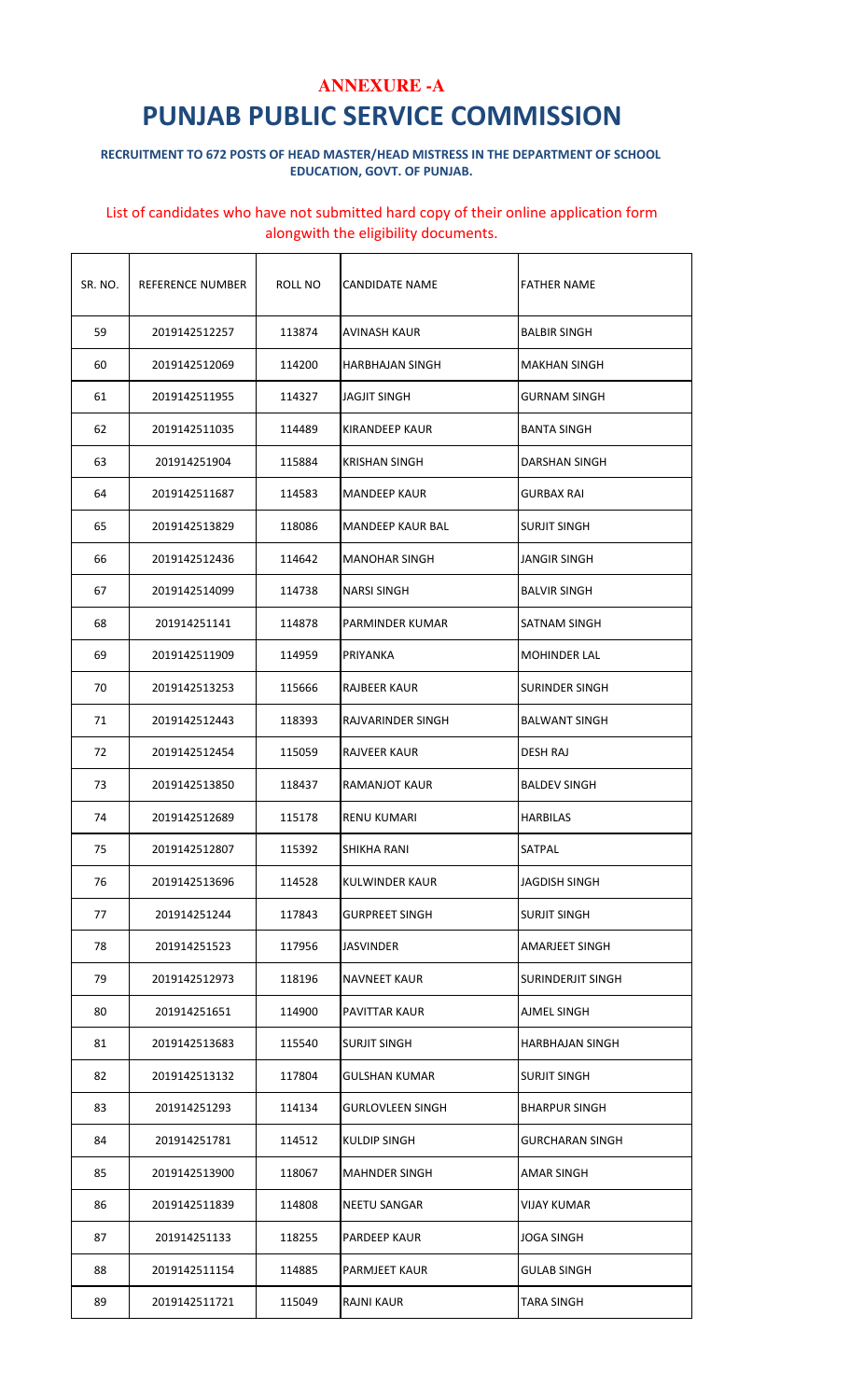#### RECRUITMENT TO 672 POSTS OF HEAD MASTER/HEAD MISTRESS IN THE DEPARTMENT OF SCHOOL EDUCATION, GOVT. OF PUNJAB.

| SR. NO. | REFERENCE NUMBER | ROLL NO | CANDIDATE NAME          | <b>FATHER NAME</b>   |
|---------|------------------|---------|-------------------------|----------------------|
| 59      | 2019142512257    | 113874  | AVINASH KAUR            | <b>BALBIR SINGH</b>  |
| 60      | 2019142512069    | 114200  | <b>HARBHAJAN SINGH</b>  | <b>MAKHAN SINGH</b>  |
| 61      | 2019142511955    | 114327  | <b>JAGJIT SINGH</b>     | GURNAM SINGH         |
| 62      | 2019142511035    | 114489  | KIRANDEEP KAUR          | <b>BANTA SINGH</b>   |
| 63      | 201914251904     | 115884  | <b>KRISHAN SINGH</b>    | DARSHAN SINGH        |
| 64      | 2019142511687    | 114583  | <b>MANDEEP KAUR</b>     | <b>GURBAX RAI</b>    |
| 65      | 2019142513829    | 118086  | <b>MANDEEP KAUR BAL</b> | <b>SURJIT SINGH</b>  |
| 66      | 2019142512436    | 114642  | <b>MANOHAR SINGH</b>    | <b>JANGIR SINGH</b>  |
| 67      | 2019142514099    | 114738  | NARSI SINGH             | <b>BALVIR SINGH</b>  |
| 68      | 201914251141     | 114878  | PARMINDER KUMAR         | SATNAM SINGH         |
| 69      | 2019142511909    | 114959  | PRIYANKA                | <b>MOHINDER LAL</b>  |
| 70      | 2019142513253    | 115666  | RAJBEER KAUR            | SURINDER SINGH       |
| 71      | 2019142512443    | 118393  | RAJVARINDER SINGH       | <b>BALWANT SINGH</b> |
| 72      | 2019142512454    | 115059  | RAJVEER KAUR            | <b>DESH RAJ</b>      |
| 73      | 2019142513850    | 118437  | RAMANJOT KAUR           | <b>BALDEV SINGH</b>  |
| 74      | 2019142512689    | 115178  | <b>RENU KUMARI</b>      | <b>HARBILAS</b>      |
| 75      | 2019142512807    | 115392  | SHIKHA RANI             | SATPAL               |
| 76      | 2019142513696    | 114528  | <b>KULWINDER KAUR</b>   | <b>JAGDISH SINGH</b> |
| 77      | 201914251244     | 117843  | <b>GURPREET SINGH</b>   | <b>SURJIT SINGH</b>  |
| 78      | 201914251523     | 117956  | JASVINDER               | AMARJEET SINGH       |
| 79      | 2019142512973    | 118196  | NAVNEET KAUR            | SURINDERJIT SINGH    |
| 80      | 201914251651     | 114900  | PAVITTAR KAUR           | AJMEL SINGH          |
| 81      | 2019142513683    | 115540  | SURJIT SINGH            | HARBHAJAN SINGH      |
| 82      | 2019142513132    | 117804  | GULSHAN KUMAR           | SURJIT SINGH         |
| 83      | 201914251293     | 114134  | <b>GURLOVLEEN SINGH</b> | <b>BHARPUR SINGH</b> |
| 84      | 201914251781     | 114512  | KULDIP SINGH            | GURCHARAN SINGH      |
| 85      | 2019142513900    | 118067  | <b>MAHNDER SINGH</b>    | AMAR SINGH           |
| 86      | 2019142511839    | 114808  | NEETU SANGAR            | VIJAY KUMAR          |
| 87      | 201914251133     | 118255  | PARDEEP KAUR            | <b>JOGA SINGH</b>    |
| 88      | 2019142511154    | 114885  | PARMJEET KAUR           | GULAB SINGH          |
| 89      | 2019142511721    | 115049  | RAJNI KAUR              | TARA SINGH           |